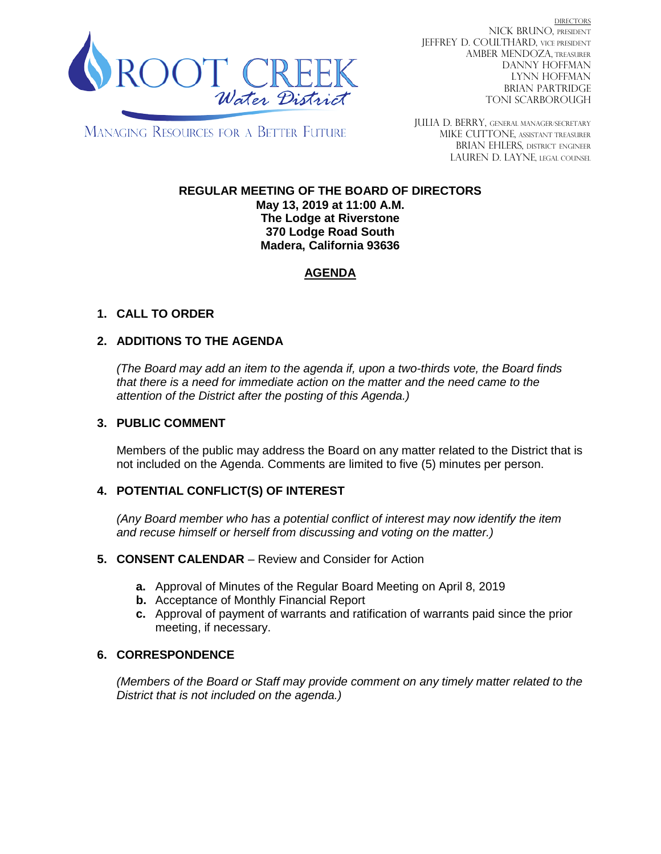

DIRECTORS NICK BRUNO, PRESIDENT JEFFREY D. COULTHARD, VICE PRESIDENT AMBER MENDOZA, TREASURER DANNY HOFFMAN LYNN HOFFMAN BRIAN PARTRIDGE TONI SCARBOROUGH

MANAGING RESOURCES FOR A BETTER FUTURE

JULIA D. BERRY, GENERAL MANAGER/secretary MIKE CUTTONE, Assistant treasurer BRIAN EHLERS, DISTRICT ENGINEER LAUREN D. LAYNE, LEGAL COUNSEL

# **REGULAR MEETING OF THE BOARD OF DIRECTORS**

**May 13, 2019 at 11:00 A.M. The Lodge at Riverstone 370 Lodge Road South Madera, California 93636**

# **AGENDA**

## **1. CALL TO ORDER**

## **2. ADDITIONS TO THE AGENDA**

*(The Board may add an item to the agenda if, upon a two-thirds vote, the Board finds that there is a need for immediate action on the matter and the need came to the attention of the District after the posting of this Agenda.)*

#### **3. PUBLIC COMMENT**

Members of the public may address the Board on any matter related to the District that is not included on the Agenda. Comments are limited to five (5) minutes per person.

#### **4. POTENTIAL CONFLICT(S) OF INTEREST**

*(Any Board member who has a potential conflict of interest may now identify the item and recuse himself or herself from discussing and voting on the matter.)*

#### **5. CONSENT CALENDAR** – Review and Consider for Action

- **a.** Approval of Minutes of the Regular Board Meeting on April 8, 2019
- **b.** Acceptance of Monthly Financial Report
- **c.** Approval of payment of warrants and ratification of warrants paid since the prior meeting, if necessary.

#### **6. CORRESPONDENCE**

*(Members of the Board or Staff may provide comment on any timely matter related to the District that is not included on the agenda.)*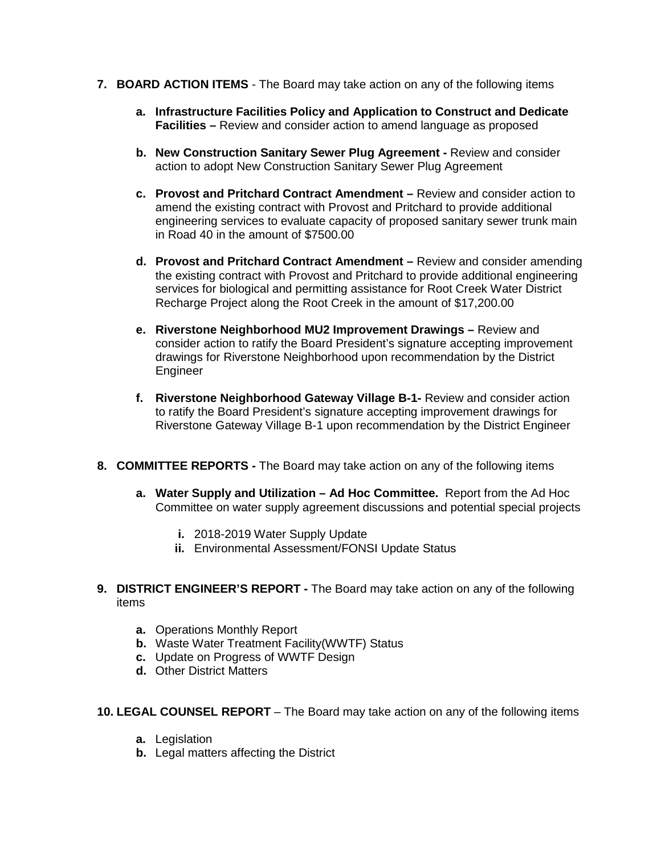- **7. BOARD ACTION ITEMS**  The Board may take action on any of the following items
	- **a. Infrastructure Facilities Policy and Application to Construct and Dedicate Facilities –** Review and consider action to amend language as proposed
	- **b. New Construction Sanitary Sewer Plug Agreement -** Review and consider action to adopt New Construction Sanitary Sewer Plug Agreement
	- **c. Provost and Pritchard Contract Amendment –** Review and consider action to amend the existing contract with Provost and Pritchard to provide additional engineering services to evaluate capacity of proposed sanitary sewer trunk main in Road 40 in the amount of \$7500.00
	- **d. Provost and Pritchard Contract Amendment –** Review and consider amending the existing contract with Provost and Pritchard to provide additional engineering services for biological and permitting assistance for Root Creek Water District Recharge Project along the Root Creek in the amount of \$17,200.00
	- **e. Riverstone Neighborhood MU2 Improvement Drawings –** Review and consider action to ratify the Board President's signature accepting improvement drawings for Riverstone Neighborhood upon recommendation by the District Engineer
	- **f. Riverstone Neighborhood Gateway Village B-1-** Review and consider action to ratify the Board President's signature accepting improvement drawings for Riverstone Gateway Village B-1 upon recommendation by the District Engineer
- **8. COMMITTEE REPORTS -** The Board may take action on any of the following items
	- **a. Water Supply and Utilization – Ad Hoc Committee.** Report from the Ad Hoc Committee on water supply agreement discussions and potential special projects
		- **i.** 2018-2019 Water Supply Update
		- **ii.** Environmental Assessment/FONSI Update Status
- **9. DISTRICT ENGINEER'S REPORT -** The Board may take action on any of the following items
	- **a.** Operations Monthly Report
	- **b.** Waste Water Treatment Facility(WWTF) Status
	- **c.** Update on Progress of WWTF Design
	- **d.** Other District Matters
- **10. LEGAL COUNSEL REPORT** The Board may take action on any of the following items
	- **a.** Legislation
	- **b.** Legal matters affecting the District